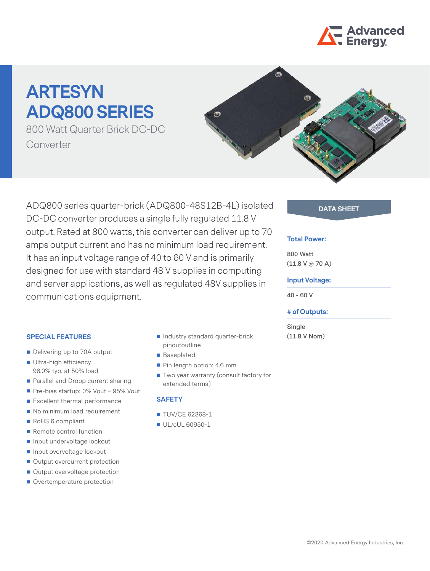

# **ARTESYN ADQ800 SERIES**

800 Watt Quarter Brick DC-DC Converter



ADQ800 series quarter-brick (ADQ800-48S12B-4L) isolated **DATA SHEET** DC-DC converter produces a single fully regulated 11.8 V output. Rated at 800 watts, this converter can deliver up to 70 amps output current and has no minimum load requirement. It has an input voltage range of 40 to 60 V and is primarily designed for use with standard 48 V supplies in computing and server applications, as well as regulated 48V supplies in communications equipment.

### **SPECIAL FEATURES**

- Delivering up to 70A output
- Ultra-high efficiency 96.0% typ. at 50% load
- Parallel and Droop current sharing
- Pre-bias startup: 0% Vout ~ 95% Vout
- Excellent thermal performance
- No minimum load requirement
- RoHS 6 compliant
- Remote control function
- Input undervoltage lockout
- Input overvoltage lockout
- Output overcurrent protection
- Output overvoltage protection
- Overtemperature protection
- Industry standard quarter-brick pinoutoutline
- Baseplated
- Pin length option: 4.6 mm
- Two year warranty (consult factory for extended terms)

#### **SAFETY**

- **TUV/CE 62368-1**
- UL/cUL 60950-1

#### **Total Power:**

**800 Watt (11.8 V @ 70 A)**

#### **Input Voltage:**

**40 - 60 V**

#### **# of Outputs:**

**Single (11.8 V Nom)**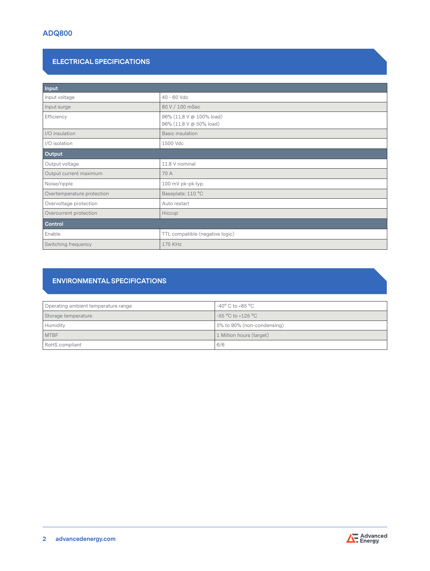# **ELECTRICAL SPECIFICATIONS**

| Input                      |                                                     |  |
|----------------------------|-----------------------------------------------------|--|
| Input voltage              | 40 - 60 Vdc                                         |  |
| Input surge                | 80 V / 100 mSec                                     |  |
| Efficiency                 | 96% (11.8 V @ 100% load)<br>96% (11.8 V @ 50% load) |  |
| I/O insulation             | <b>Basic insulation</b>                             |  |
| I/O isolation              | 1500 Vdc                                            |  |
| Output                     |                                                     |  |
| Output voltage             | 11.8 V nominal                                      |  |
| Output current maximum     | 70 A                                                |  |
| Noise/ripple               | 100 mV pk-pk typ.                                   |  |
| Overtemperature protection | Baseplate: 110 °C                                   |  |
| Overvoltage protection     | Auto restart                                        |  |
| Overcurrent protection     | Hiccup                                              |  |
| Control                    |                                                     |  |
| Enable                     | TTL compatible (negative logic)                     |  |
| Switching frequency        | 175 KHz                                             |  |

# **ENVIRONMENTAL SPECIFICATIONS**

| Operating ambient temperature range | $-40^{\circ}$ C to +85 $^{\circ}$ C |  |
|-------------------------------------|-------------------------------------|--|
| Storage temperature                 | -55 °C to +125 °C                   |  |
| Humidity                            | 5% to 90% (non-condensing)          |  |
| <b>MTBF</b>                         | 1 Million hours (target)            |  |
| RoHS compliant                      | 6/6                                 |  |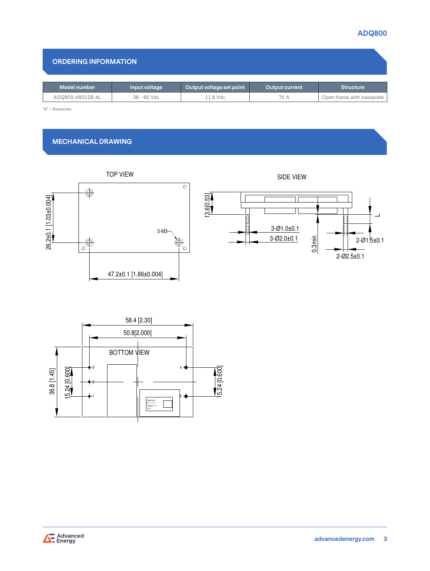# **ADQ800**

100228\*\*\*\*\*\*\*\*

## **ORDERING INFORMATION**

| Open frame with baseplate |
|---------------------------|
|                           |
|                           |

# **MECHANICAL DRAWING**





0.3min

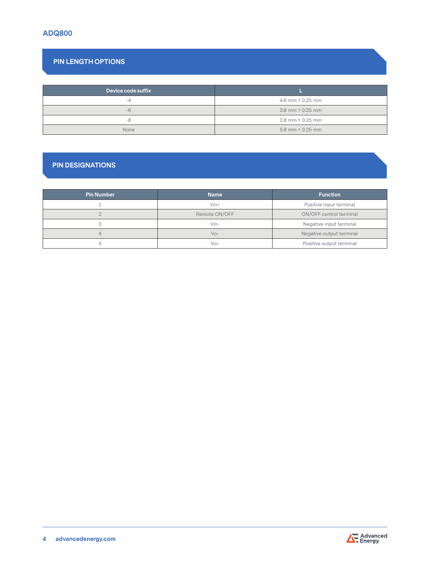# **PIN LENGTH OPTIONS**

| Device code suffix |                        |
|--------------------|------------------------|
| -4                 | 4.6 mm $\pm$ 0.25 mm   |
| $-6$               | 3.8 mm $\pm$ 0.25 mm   |
| -8                 | $2.8$ mm $\pm$ 0.25 mm |
| None               | 5.8 mm $\pm$ 0.25 mm   |

# **PIN DESIGNATIONS**

| <b>Pin Number</b> | <b>Name</b>   | <b>Function</b>          |
|-------------------|---------------|--------------------------|
|                   | $V$ in+       | Positive input terminal  |
|                   | Remote ON/OFF | ON/OFF control terminal  |
|                   | $V$ in-       | Negative input terminal  |
| 4                 | $VQ -$        | Negative output terminal |
|                   | Vo+           | Positive output terminal |